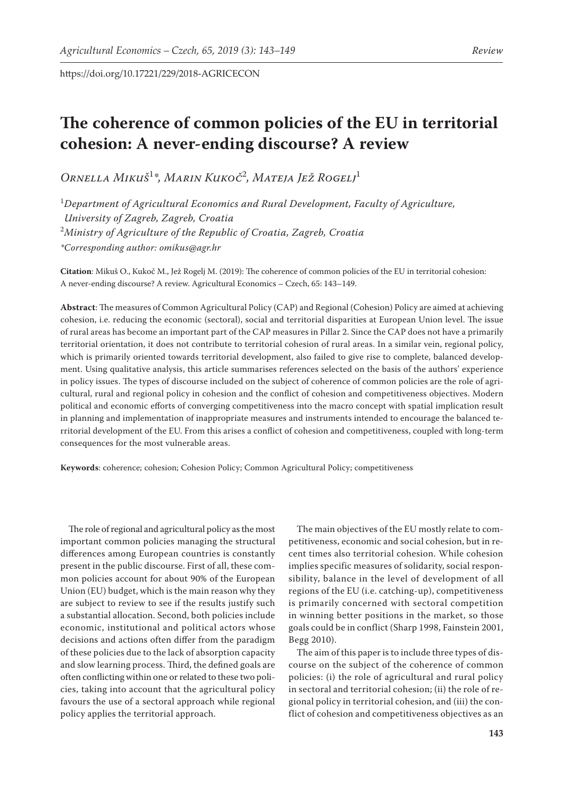# **The coherence of common policies of the EU in territorial cohesion: A never-ending discourse? A review**

*Ornella Mikuš*<sup>1</sup> *\*, Marin Kukoč*<sup>2</sup> *, Mateja Jež Rogelj*<sup>1</sup>

<sup>1</sup>Department of Agricultural Economics and Rural Development, Faculty of Agriculture, *University of Zagreb, Zagreb, Croatia* 2 *Ministry of Agriculture of the Republic of Croatia, Zagreb, Croatia \*Corresponding author: [omikus@agr.hr](mailto:omikus@agr.hr)*

**Citation**: Mikuš O., Kukoč M., Jež Rogelj M. (2019): The coherence of common policies of the EU in territorial cohesion: A never-ending discourse? A review. Agricultural Economics – Czech, 65: 143–149.

**Abstract**: The measures of Common Agricultural Policy (CAP) and Regional (Cohesion) Policy are aimed at achieving cohesion, i.e. reducing the economic (sectoral), social and territorial disparities at European Union level. The issue of rural areas has become an important part of the CAP measures in Pillar 2. Since the CAP does not have a primarily territorial orientation, it does not contribute to territorial cohesion of rural areas. In a similar vein, regional policy, which is primarily oriented towards territorial development, also failed to give rise to complete, balanced development. Using qualitative analysis, this article summarises references selected on the basis of the authors' experience in policy issues. The types of discourse included on the subject of coherence of common policies are the role of agricultural, rural and regional policy in cohesion and the conflict of cohesion and competitiveness objectives. Modern political and economic efforts of converging competitiveness into the macro concept with spatial implication result in planning and implementation of inappropriate measures and instruments intended to encourage the balanced territorial development of the EU. From this arises a conflict of cohesion and competitiveness, coupled with long-term consequences for the most vulnerable areas.

**Keywords**: coherence; cohesion; Cohesion Policy; Common Agricultural Policy; competitiveness

The role of regional and agricultural policy as the most important common policies managing the structural differences among European countries is constantly present in the public discourse. First of all, these common policies account for about 90% of the European Union (EU) budget, which is the main reason why they are subject to review to see if the results justify such a substantial allocation. Second, both policies include economic, institutional and political actors whose decisions and actions often differ from the paradigm of these policies due to the lack of absorption capacity and slow learning process. Third, the defined goals are often conflicting within one or related to these two policies, taking into account that the agricultural policy favours the use of a sectoral approach while regional policy applies the territorial approach.

The main objectives of the EU mostly relate to competitiveness, economic and social cohesion, but in recent times also territorial cohesion. While cohesion implies specific measures of solidarity, social responsibility, balance in the level of development of all regions of the EU (i.e. catching-up), competitiveness is primarily concerned with sectoral competition in winning better positions in the market, so those goals could be in conflict (Sharp 1998, Fainstein 2001, Begg 2010).

The aim of this paper is to include three types of discourse on the subject of the coherence of common policies: (i) the role of agricultural and rural policy in sectoral and territorial cohesion; (ii) the role of regional policy in territorial cohesion, and (iii) the conflict of cohesion and competitiveness objectives as an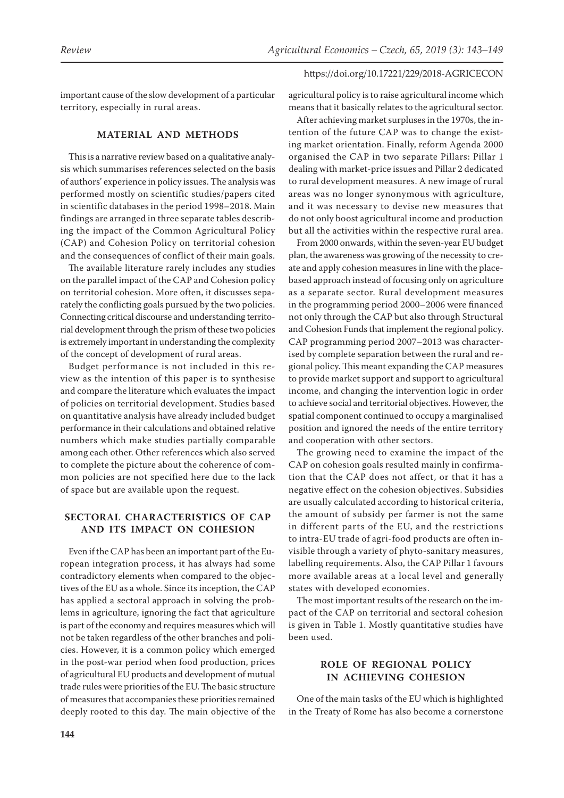important cause of the slow development of a particular territory, especially in rural areas.

# **MATERIAL AND METHODS**

This is a narrative review based on a qualitative analysis which summarises references selected on the basis of authors' experience in policy issues. The analysis was performed mostly on scientific studies/papers cited in scientific databases in the period 1998–2018. Main findings are arranged in three separate tables describing the impact of the Common Agricultural Policy (CAP) and Cohesion Policy on territorial cohesion and the consequences of conflict of their main goals.

The available literature rarely includes any studies on the parallel impact of the CAP and Cohesion policy on territorial cohesion. More often, it discusses separately the conflicting goals pursued by the two policies. Connecting critical discourse and understanding territorial development through the prism of these two policies is extremely important in understanding the complexity of the concept of development of rural areas.

Budget performance is not included in this review as the intention of this paper is to synthesise and compare the literature which evaluates the impact of policies on territorial development. Studies based on quantitative analysis have already included budget performance in their calculations and obtained relative numbers which make studies partially comparable among each other. Other references which also served to complete the picture about the coherence of common policies are not specified here due to the lack of space but are available upon the request.

# **SECTORAL CHARACTERISTICS OF CAP AND ITS IMPACT ON COHESION**

Even if the CAP has been an important part of the European integration process, it has always had some contradictory elements when compared to the objectives of the EU as a whole. Since its inception, the CAP has applied a sectoral approach in solving the problems in agriculture, ignoring the fact that agriculture is part of the economy and requires measures which will not be taken regardless of the other branches and policies. However, it is a common policy which emerged in the post-war period when food production, prices of agricultural EU products and development of mutual trade rules were priorities of the EU. The basic structure of measures that accompanies these priorities remained deeply rooted to this day. The main objective of the

## <https://doi.org/10.17221/229/2018>-AGRICECON

agricultural policy is to raise agricultural income which means that it basically relates to the agricultural sector.

After achieving market surpluses in the 1970s, the intention of the future CAP was to change the existing market orientation. Finally, reform Agenda 2000 organised the CAP in two separate Pillars: Pillar 1 dealing with market-price issues and Pillar 2 dedicated to rural development measures. A new image of rural areas was no longer synonymous with agriculture, and it was necessary to devise new measures that do not only boost agricultural income and production but all the activities within the respective rural area.

From 2000 onwards, within the seven-year EU budget plan, the awareness was growing of the necessity to create and apply cohesion measures in line with the placebased approach instead of focusing only on agriculture as a separate sector. Rural development measures in the programming period 2000–2006 were financed not only through the CAP but also through Structural and Cohesion Funds that implement the regional policy. CAP programming period 2007–2013 was characterised by complete separation between the rural and regional policy. This meant expanding the CAP measures to provide market support and support to agricultural income, and changing the intervention logic in order to achieve social and territorial objectives. However, the spatial component continued to occupy a marginalised position and ignored the needs of the entire territory and cooperation with other sectors.

The growing need to examine the impact of the CAP on cohesion goals resulted mainly in confirmation that the CAP does not affect, or that it has a negative effect on the cohesion objectives. Subsidies are usually calculated according to historical criteria, the amount of subsidy per farmer is not the same in different parts of the EU, and the restrictions to intra-EU trade of agri-food products are often invisible through a variety of phyto-sanitary measures, labelling requirements. Also, the CAP Pillar 1 favours more available areas at a local level and generally states with developed economies.

The most important results of the research on the impact of the CAP on territorial and sectoral cohesion is given in Table 1. Mostly quantitative studies have been used.

# **ROLE OF REGIONAL POLICY IN ACHIEVING COHESION**

One of the main tasks of the EU which is highlighted in the Treaty of Rome has also become a cornerstone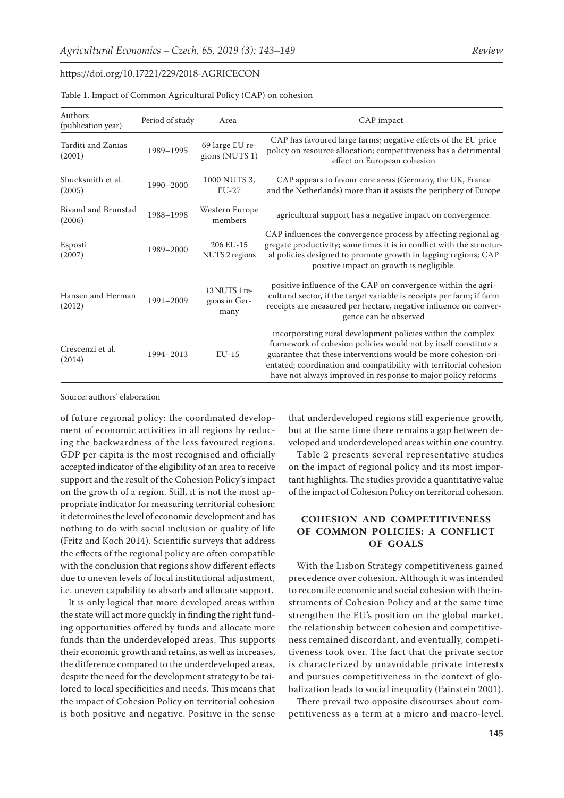| Authors<br>(publication year) | Period of study | Area                                   | CAP impact                                                                                                                                                                                                                                                                                                                            |
|-------------------------------|-----------------|----------------------------------------|---------------------------------------------------------------------------------------------------------------------------------------------------------------------------------------------------------------------------------------------------------------------------------------------------------------------------------------|
| Tarditi and Zanias<br>(2001)  | 1989-1995       | 69 large EU re-<br>gions (NUTS 1)      | CAP has favoured large farms; negative effects of the EU price<br>policy on resource allocation; competitiveness has a detrimental<br>effect on European cohesion                                                                                                                                                                     |
| Shucksmith et al.<br>(2005)   | 1990-2000       | 1000 NUTS 3,<br>EU-27                  | CAP appears to favour core areas (Germany, the UK, France<br>and the Netherlands) more than it assists the periphery of Europe                                                                                                                                                                                                        |
| Bivand and Brunstad<br>(2006) | 1988-1998       | Western Europe<br>members              | agricultural support has a negative impact on convergence.                                                                                                                                                                                                                                                                            |
| Esposti<br>(2007)             | 1989-2000       | 206 EU-15<br>NUTS 2 regions            | CAP influences the convergence process by affecting regional ag-<br>gregate productivity; sometimes it is in conflict with the structur-<br>al policies designed to promote growth in lagging regions; CAP<br>positive impact on growth is negligible.                                                                                |
| Hansen and Herman<br>(2012)   | 1991-2009       | 13 NUTS 1 re-<br>gions in Ger-<br>many | positive influence of the CAP on convergence within the agri-<br>cultural sector, if the target variable is receipts per farm; if farm<br>receipts are measured per hectare, negative influence on conver-<br>gence can be observed                                                                                                   |
| Crescenzi et al.<br>(2014)    | 1994-2013       | $EU-15$                                | incorporating rural development policies within the complex<br>framework of cohesion policies would not by itself constitute a<br>guarantee that these interventions would be more cohesion-ori-<br>entated; coordination and compatibility with territorial cohesion<br>have not always improved in response to major policy reforms |

Table 1. Impact of Common Agricultural Policy (CAP) on cohesion

Source: authors' elaboration

of future regional policy: the coordinated development of economic activities in all regions by reducing the backwardness of the less favoured regions. GDP per capita is the most recognised and officially accepted indicator of the eligibility of an area to receive support and the result of the Cohesion Policy's impact on the growth of a region. Still, it is not the most appropriate indicator for measuring territorial cohesion; it determines the level of economic development and has nothing to do with social inclusion or quality of life (Fritz and Koch 2014). Scientific surveys that address the effects of the regional policy are often compatible with the conclusion that regions show different effects due to uneven levels of local institutional adjustment, i.e. uneven capability to absorb and allocate support.

It is only logical that more developed areas within the state will act more quickly in finding the right funding opportunities offered by funds and allocate more funds than the underdeveloped areas. This supports their economic growth and retains, as well as increases, the difference compared to the underdeveloped areas, despite the need for the development strategy to be tailored to local specificities and needs. This means that the impact of Cohesion Policy on territorial cohesion is both positive and negative. Positive in the sense

that underdeveloped regions still experience growth, but at the same time there remains a gap between developed and underdeveloped areas within one country.

Table 2 presents several representative studies on the impact of regional policy and its most important highlights. The studies provide a quantitative value of the impact of Cohesion Policy on territorial cohesion.

# **COHESION AND COMPETITIVENESS OF COMMON POLICIES: A CONFLICT OF GOALS**

With the Lisbon Strategy competitiveness gained precedence over cohesion. Although it was intended to reconcile economic and social cohesion with the instruments of Cohesion Policy and at the same time strengthen the EU's position on the global market, the relationship between cohesion and competitiveness remained discordant, and eventually, competitiveness took over. The fact that the private sector is characterized by unavoidable private interests and pursues competitiveness in the context of globalization leads to social inequality (Fainstein 2001).

There prevail two opposite discourses about competitiveness as a term at a micro and macro-level.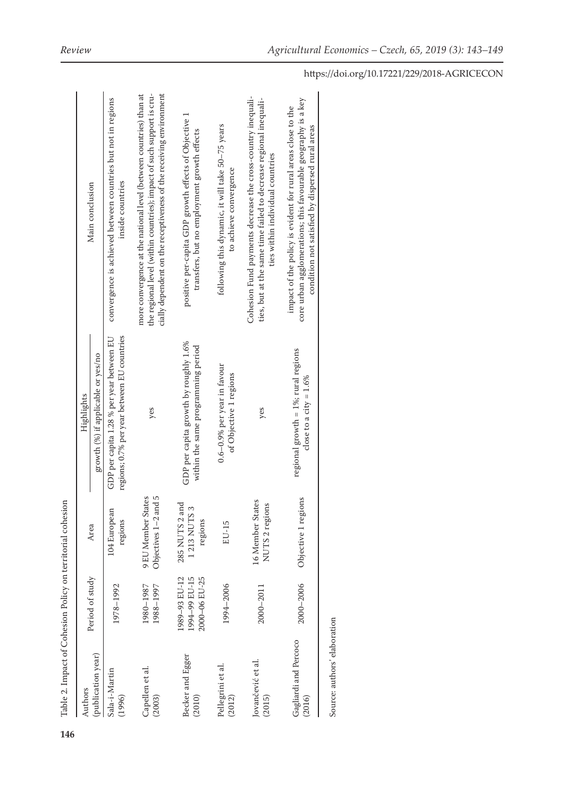| Table 2. Impact of Cohesion Policy on territorial cohesion |                                                 |                                             |                                                                                          |                                                                                                                                                                                                                   |
|------------------------------------------------------------|-------------------------------------------------|---------------------------------------------|------------------------------------------------------------------------------------------|-------------------------------------------------------------------------------------------------------------------------------------------------------------------------------------------------------------------|
| (publication year)<br>Authors                              | Period of study                                 | Area                                        | growth (%) if applicable or yes/no<br>Highlights                                         | Main conclusion                                                                                                                                                                                                   |
| Sala-i-Martin<br>(1996)                                    | 1978-1992                                       | 104 European<br>regions                     | regions; 0.7% per year between EU countries<br>GDP per capita 1.28 % per year between EU | convergence is achieved between countries but not in regions<br>inside countries                                                                                                                                  |
| Capellen et al.<br>(2003)                                  | 1980-1987<br>1988-1997                          | Objectives 1-2 and 5<br>9 EU Member States  | yes                                                                                      | cially dependent on the receptiveness of the receiving environment<br>the regional level (within countries); impact of such support is cru-<br>more convergence at the national level (between countries) than at |
| Becker and Egger<br>(2010)                                 | 1989-93 EU-12<br>1994-99 EU-15<br>2000-06 EU-25 | 285 NUTS 2 and<br>3<br>1213 NUTS<br>regions | GDP per capita growth by roughly 1.6%<br>within the same programming period              | positive per-capita GDP growth effects of Objective 1<br>transfers, but no employment growth effects                                                                                                              |
| Pellegrini et al.<br>(2012)                                | 1994-2006                                       | EU-15                                       | 0.6-0.9% per year in favour<br>of Objective 1 regions                                    | following this dynamic, it will take 50-75 years<br>to achieve convergence                                                                                                                                        |
| Jovančević et al.<br>(2015)                                | $2000 - 2011$                                   | 16 Member States<br>NUTS 2 regions          | yes                                                                                      | Cohesion Fund payments decrease the cross-country inequali-<br>ties, but at the same time failed to decrease regional inequali-<br>ties within individual countries                                               |
| Gagliardi and Percoco<br>(2016)                            | 2000-2006                                       | Objective 1 regions                         | regional growth = 1%; rural regions<br>close to a city = $1.6\%$                         | core urban agglomerations; this favourable geography is a key<br>impact of the policy is evident for rural areas close to the<br>condition not satisfied by dispersed rural areas                                 |
|                                                            |                                                 |                                             |                                                                                          |                                                                                                                                                                                                                   |

Source: authors' elaboration Source: authors' elaboration

**146**

https://doi.org/10.17221/229/2018-AGRICECON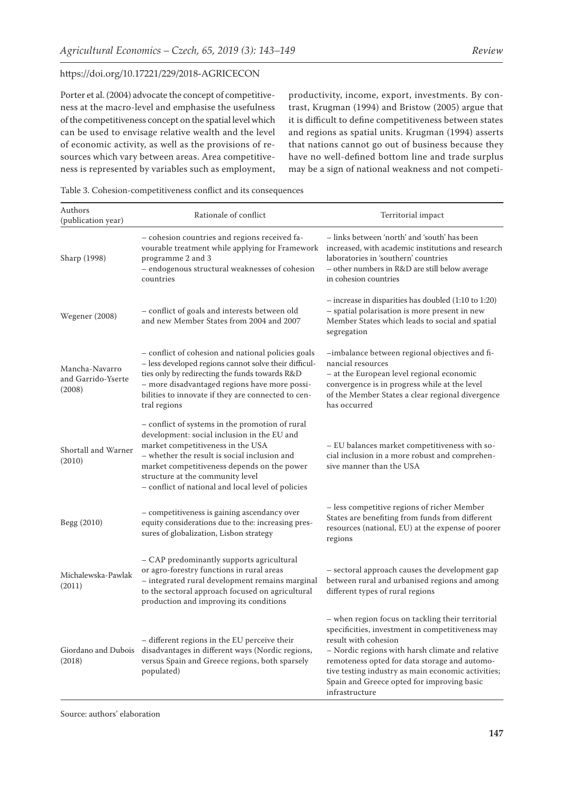Porter et al. (2004) advocate the concept of competitiveness at the macro-level and emphasise the usefulness of the competitiveness concept on the spatial level which can be used to envisage relative wealth and the level of economic activity, as well as the provisions of resources which vary between areas. Area competitiveness is represented by variables such as employment, productivity, income, export, investments. By contrast, Krugman (1994) and Bristow (2005) argue that it is difficult to define competitiveness between states and regions as spatial units. Krugman (1994) asserts that nations cannot go out of business because they have no well-defined bottom line and trade surplus may be a sign of national weakness and not competi-

Table 3. Cohesion-competitiveness conflict and its consequences

| Authors<br>(publication year)                  | Rationale of conflict                                                                                                                                                                                                                                                                                                        | Territorial impact                                                                                                                                                                                                                                                                                                                                       |
|------------------------------------------------|------------------------------------------------------------------------------------------------------------------------------------------------------------------------------------------------------------------------------------------------------------------------------------------------------------------------------|----------------------------------------------------------------------------------------------------------------------------------------------------------------------------------------------------------------------------------------------------------------------------------------------------------------------------------------------------------|
| Sharp (1998)                                   | - cohesion countries and regions received fa-<br>vourable treatment while applying for Framework<br>programme 2 and 3<br>- endogenous structural weaknesses of cohesion<br>countries                                                                                                                                         | - links between 'north' and 'south' has been<br>increased, with academic institutions and research<br>laboratories in 'southern' countries<br>- other numbers in R&D are still below average<br>in cohesion countries                                                                                                                                    |
| Wegener (2008)                                 | - conflict of goals and interests between old<br>and new Member States from 2004 and 2007                                                                                                                                                                                                                                    | $-$ increase in disparities has doubled (1:10 to 1:20)<br>- spatial polarisation is more present in new<br>Member States which leads to social and spatial<br>segregation                                                                                                                                                                                |
| Mancha-Navarro<br>and Garrido-Yserte<br>(2008) | - conflict of cohesion and national policies goals<br>- less developed regions cannot solve their difficul-<br>ties only by redirecting the funds towards R&D<br>- more disadvantaged regions have more possi-<br>bilities to innovate if they are connected to cen-<br>tral regions                                         | -imbalance between regional objectives and fi-<br>nancial resources<br>- at the European level regional economic<br>convergence is in progress while at the level<br>of the Member States a clear regional divergence<br>has occurred                                                                                                                    |
| Shortall and Warner<br>(2010)                  | - conflict of systems in the promotion of rural<br>development: social inclusion in the EU and<br>market competitiveness in the USA<br>- whether the result is social inclusion and<br>market competitiveness depends on the power<br>structure at the community level<br>- conflict of national and local level of policies | - EU balances market competitiveness with so-<br>cial inclusion in a more robust and comprehen-<br>sive manner than the USA                                                                                                                                                                                                                              |
| Begg (2010)                                    | - competitiveness is gaining ascendancy over<br>equity considerations due to the: increasing pres-<br>sures of globalization, Lisbon strategy                                                                                                                                                                                | - less competitive regions of richer Member<br>States are benefiting from funds from different<br>resources (national, EU) at the expense of poorer<br>regions                                                                                                                                                                                           |
| Michalewska-Pawlak<br>(2011)                   | - CAP predominantly supports agricultural<br>or agro-forestry functions in rural areas<br>- integrated rural development remains marginal<br>to the sectoral approach focused on agricultural<br>production and improving its conditions                                                                                     | - sectoral approach causes the development gap<br>between rural and urbanised regions and among<br>different types of rural regions                                                                                                                                                                                                                      |
| Giordano and Dubois<br>(2018)                  | - different regions in the EU perceive their<br>disadvantages in different ways (Nordic regions,<br>versus Spain and Greece regions, both sparsely<br>populated)                                                                                                                                                             | - when region focus on tackling their territorial<br>specificities, investment in competitiveness may<br>result with cohesion<br>- Nordic regions with harsh climate and relative<br>remoteness opted for data storage and automo-<br>tive testing industry as main economic activities;<br>Spain and Greece opted for improving basic<br>infrastructure |

Source: authors' elaboration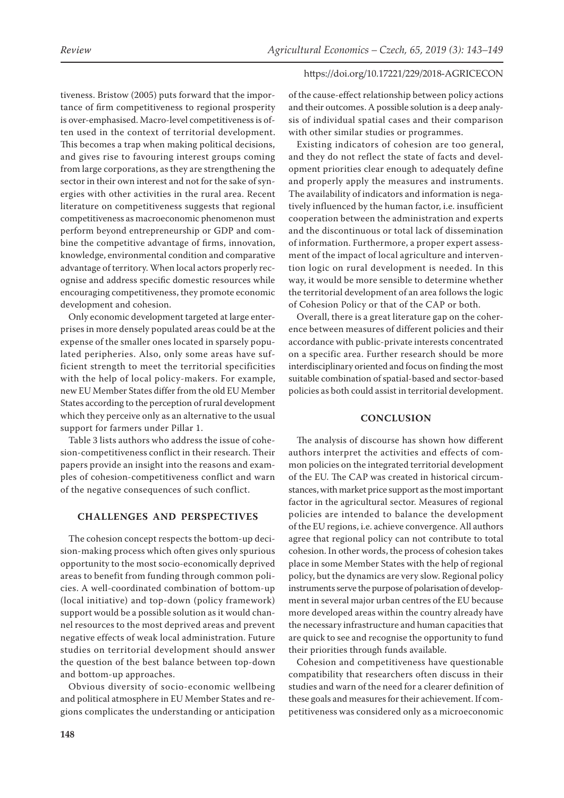tiveness. Bristow (2005) puts forward that the importance of firm competitiveness to regional prosperity is over-emphasised. Macro-level competitiveness is often used in the context of territorial development. This becomes a trap when making political decisions, and gives rise to favouring interest groups coming from large corporations, as they are strengthening the sector in their own interest and not for the sake of synergies with other activities in the rural area. Recent literature on competitiveness suggests that regional competitiveness as macroeconomic phenomenon must perform beyond entrepreneurship or GDP and combine the competitive advantage of firms, innovation, knowledge, environmental condition and comparative advantage of territory. When local actors properly recognise and address specific domestic resources while encouraging competitiveness, they promote economic development and cohesion.

Only economic development targeted at large enterprises in more densely populated areas could be at the expense of the smaller ones located in sparsely populated peripheries. Also, only some areas have sufficient strength to meet the territorial specificities with the help of local policy-makers. For example, new EU Member States differ from the old EU Member States according to the perception of rural development which they perceive only as an alternative to the usual support for farmers under Pillar 1.

Table 3 lists authors who address the issue of cohesion-competitiveness conflict in their research. Their papers provide an insight into the reasons and examples of cohesion-competitiveness conflict and warn of the negative consequences of such conflict.

# **CHALLENGES AND PERSPECTIVES**

The cohesion concept respects the bottom-up decision-making process which often gives only spurious opportunity to the most socio-economically deprived areas to benefit from funding through common policies. A well-coordinated combination of bottom-up (local initiative) and top-down (policy framework) support would be a possible solution as it would channel resources to the most deprived areas and prevent negative effects of weak local administration. Future studies on territorial development should answer the question of the best balance between top-down and bottom-up approaches.

Obvious diversity of socio-economic wellbeing and political atmosphere in EU Member States and regions complicates the understanding or anticipation

of the cause-effect relationship between policy actions and their outcomes. A possible solution is a deep analysis of individual spatial cases and their comparison with other similar studies or programmes.

Existing indicators of cohesion are too general, and they do not reflect the state of facts and development priorities clear enough to adequately define and properly apply the measures and instruments. The availability of indicators and information is negatively influenced by the human factor, i.e. insufficient cooperation between the administration and experts and the discontinuous or total lack of dissemination of information. Furthermore, a proper expert assessment of the impact of local agriculture and intervention logic on rural development is needed. In this way, it would be more sensible to determine whether the territorial development of an area follows the logic of Cohesion Policy or that of the CAP or both.

Overall, there is a great literature gap on the coherence between measures of different policies and their accordance with public-private interests concentrated on a specific area. Further research should be more interdisciplinary oriented and focus on finding the most suitable combination of spatial-based and sector-based policies as both could assist in territorial development.

### **CONCLUSION**

The analysis of discourse has shown how different authors interpret the activities and effects of common policies on the integrated territorial development of the EU. The CAP was created in historical circumstances, with market price support as the most important factor in the agricultural sector. Measures of regional policies are intended to balance the development of the EU regions, i.e. achieve convergence. All authors agree that regional policy can not contribute to total cohesion. In other words, the process of cohesion takes place in some Member States with the help of regional policy, but the dynamics are very slow. Regional policy instruments serve the purpose of polarisation of development in several major urban centres of the EU because more developed areas within the country already have the necessary infrastructure and human capacities that are quick to see and recognise the opportunity to fund their priorities through funds available.

Cohesion and competitiveness have questionable compatibility that researchers often discuss in their studies and warn of the need for a clearer definition of these goals and measures for their achievement. If competitiveness was considered only as a microeconomic